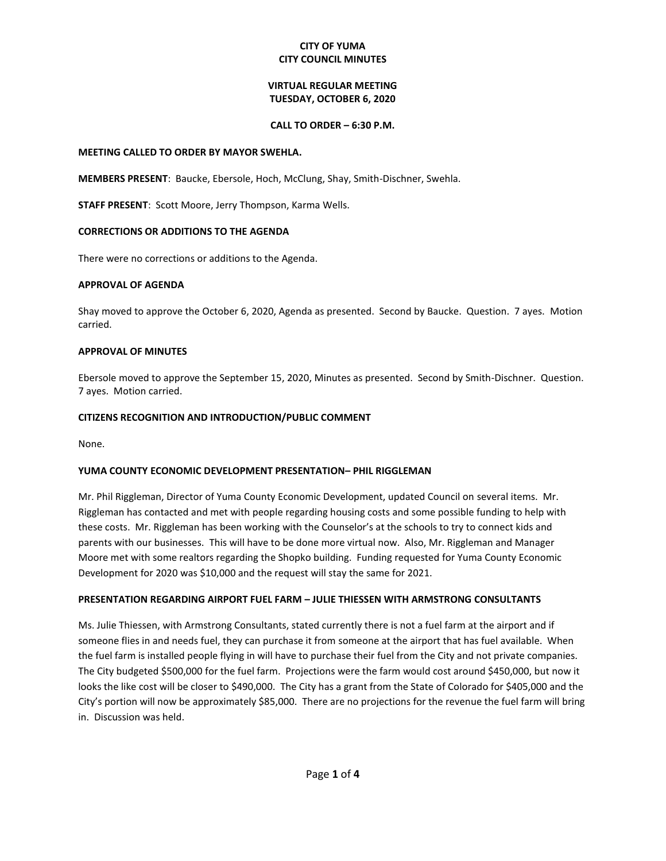## **CITY OF YUMA CITY COUNCIL MINUTES**

# **VIRTUAL REGULAR MEETING TUESDAY, OCTOBER 6, 2020**

## **CALL TO ORDER – 6:30 P.M.**

### **MEETING CALLED TO ORDER BY MAYOR SWEHLA.**

**MEMBERS PRESENT**: Baucke, Ebersole, Hoch, McClung, Shay, Smith-Dischner, Swehla.

**STAFF PRESENT**: Scott Moore, Jerry Thompson, Karma Wells.

## **CORRECTIONS OR ADDITIONS TO THE AGENDA**

There were no corrections or additions to the Agenda.

### **APPROVAL OF AGENDA**

Shay moved to approve the October 6, 2020, Agenda as presented. Second by Baucke. Question. 7 ayes. Motion carried.

### **APPROVAL OF MINUTES**

Ebersole moved to approve the September 15, 2020, Minutes as presented. Second by Smith-Dischner. Question. 7 ayes. Motion carried.

### **CITIZENS RECOGNITION AND INTRODUCTION/PUBLIC COMMENT**

None.

#### **YUMA COUNTY ECONOMIC DEVELOPMENT PRESENTATION– PHIL RIGGLEMAN**

Mr. Phil Riggleman, Director of Yuma County Economic Development, updated Council on several items. Mr. Riggleman has contacted and met with people regarding housing costs and some possible funding to help with these costs. Mr. Riggleman has been working with the Counselor's at the schools to try to connect kids and parents with our businesses. This will have to be done more virtual now. Also, Mr. Riggleman and Manager Moore met with some realtors regarding the Shopko building. Funding requested for Yuma County Economic Development for 2020 was \$10,000 and the request will stay the same for 2021.

## **PRESENTATION REGARDING AIRPORT FUEL FARM – JULIE THIESSEN WITH ARMSTRONG CONSULTANTS**

Ms. Julie Thiessen, with Armstrong Consultants, stated currently there is not a fuel farm at the airport and if someone flies in and needs fuel, they can purchase it from someone at the airport that has fuel available. When the fuel farm is installed people flying in will have to purchase their fuel from the City and not private companies. The City budgeted \$500,000 for the fuel farm. Projections were the farm would cost around \$450,000, but now it looks the like cost will be closer to \$490,000. The City has a grant from the State of Colorado for \$405,000 and the City's portion will now be approximately \$85,000. There are no projections for the revenue the fuel farm will bring in. Discussion was held.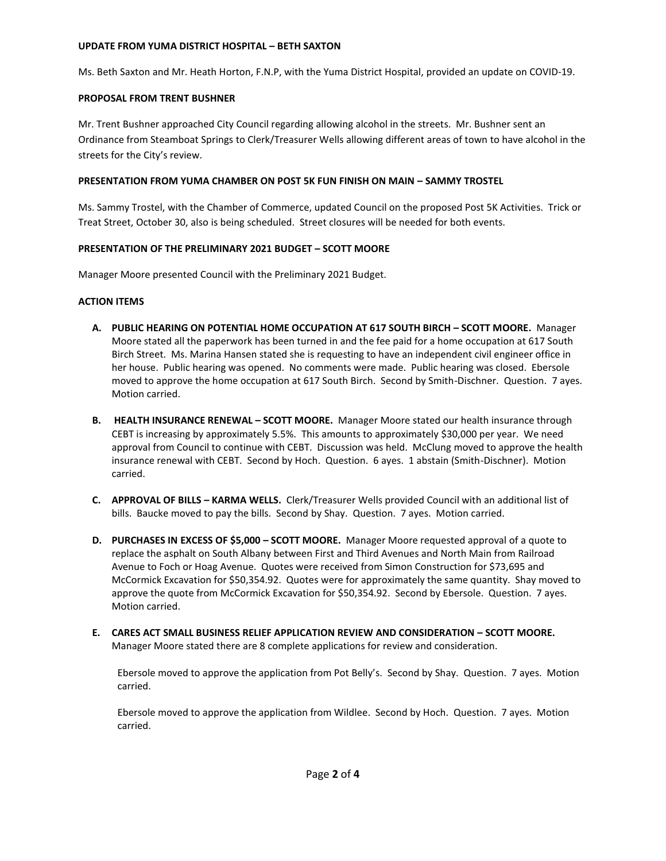## **UPDATE FROM YUMA DISTRICT HOSPITAL – BETH SAXTON**

Ms. Beth Saxton and Mr. Heath Horton, F.N.P, with the Yuma District Hospital, provided an update on COVID-19.

# **PROPOSAL FROM TRENT BUSHNER**

Mr. Trent Bushner approached City Council regarding allowing alcohol in the streets. Mr. Bushner sent an Ordinance from Steamboat Springs to Clerk/Treasurer Wells allowing different areas of town to have alcohol in the streets for the City's review.

# **PRESENTATION FROM YUMA CHAMBER ON POST 5K FUN FINISH ON MAIN – SAMMY TROSTEL**

Ms. Sammy Trostel, with the Chamber of Commerce, updated Council on the proposed Post 5K Activities. Trick or Treat Street, October 30, also is being scheduled. Street closures will be needed for both events.

# **PRESENTATION OF THE PRELIMINARY 2021 BUDGET – SCOTT MOORE**

Manager Moore presented Council with the Preliminary 2021 Budget.

# **ACTION ITEMS**

- **A. PUBLIC HEARING ON POTENTIAL HOME OCCUPATION AT 617 SOUTH BIRCH – SCOTT MOORE.** Manager Moore stated all the paperwork has been turned in and the fee paid for a home occupation at 617 South Birch Street. Ms. Marina Hansen stated she is requesting to have an independent civil engineer office in her house. Public hearing was opened. No comments were made. Public hearing was closed. Ebersole moved to approve the home occupation at 617 South Birch. Second by Smith-Dischner. Question. 7 ayes. Motion carried.
- **B.** HEALTH INSURANCE RENEWAL SCOTT MOORE. Manager Moore stated our health insurance through CEBT is increasing by approximately 5.5%. This amounts to approximately \$30,000 per year. We need approval from Council to continue with CEBT. Discussion was held. McClung moved to approve the health insurance renewal with CEBT. Second by Hoch. Question. 6 ayes. 1 abstain (Smith-Dischner). Motion carried.
- **C. APPROVAL OF BILLS – KARMA WELLS.** Clerk/Treasurer Wells provided Council with an additional list of bills. Baucke moved to pay the bills. Second by Shay. Question. 7 ayes. Motion carried.
- **D. PURCHASES IN EXCESS OF \$5,000 – SCOTT MOORE.** Manager Moore requested approval of a quote to replace the asphalt on South Albany between First and Third Avenues and North Main from Railroad Avenue to Foch or Hoag Avenue. Quotes were received from Simon Construction for \$73,695 and McCormick Excavation for \$50,354.92. Quotes were for approximately the same quantity. Shay moved to approve the quote from McCormick Excavation for \$50,354.92. Second by Ebersole. Question. 7 ayes. Motion carried.
- **E. CARES ACT SMALL BUSINESS RELIEF APPLICATION REVIEW AND CONSIDERATION – SCOTT MOORE.**  Manager Moore stated there are 8 complete applications for review and consideration.

Ebersole moved to approve the application from Pot Belly's. Second by Shay. Question. 7 ayes. Motion carried.

Ebersole moved to approve the application from Wildlee. Second by Hoch. Question. 7 ayes. Motion carried.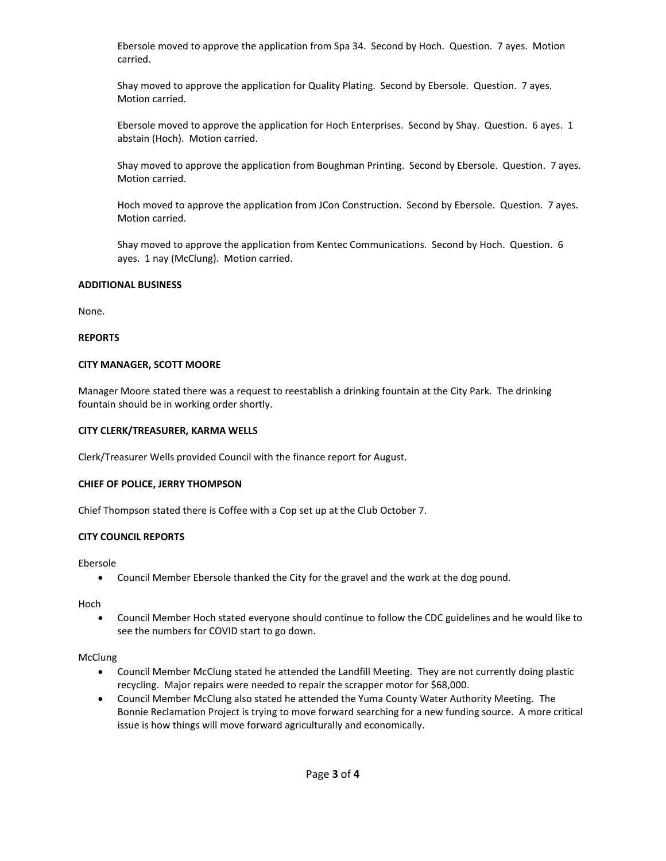Ebersole moved to approve the application from Spa 34. Second by Hoch. Question. 7 ayes. Motion carried.

Shay moved to approve the application for Quality Plating. Second by Ebersole. Question. 7 ayes. Motion carried.

Ebersole moved to approve the application for Hoch Enterprises. Second by Shay. Question. 6 ayes. 1 abstain (Hoch). Motion carried.

Shay moved to approve the application from Boughman Printing. Second by Ebersole. Question. 7 ayes. Motion carried.

Hoch moved to approve the application from JCon Construction. Second by Ebersole. Question. 7 ayes. Motion carried.

Shay moved to approve the application from Kentec Communications. Second by Hoch. Question. 6 ayes. 1 nay (McClung). Motion carried.

### **ADDITIONAL BUSINESS**

None.

### **REPORTS**

### **CITY MANAGER, SCOTT MOORE**

Manager Moore stated there was a request to reestablish a drinking fountain at the City Park. The drinking fountain should be in working order shortly.

### **CITY CLERK/TREASURER, KARMA WELLS**

Clerk/Treasurer Wells provided Council with the finance report for August.

## **CHIEF OF POLICE, JERRY THOMPSON**

Chief Thompson stated there is Coffee with a Cop set up at the Club October 7.

## **CITY COUNCIL REPORTS**

Ebersole

Council Member Ebersole thanked the City for the gravel and the work at the dog pound.

Hoch

 Council Member Hoch stated everyone should continue to follow the CDC guidelines and he would like to see the numbers for COVID start to go down.

## **McClung**

- Council Member McClung stated he attended the Landfill Meeting. They are not currently doing plastic recycling. Major repairs were needed to repair the scrapper motor for \$68,000.
- Council Member McClung also stated he attended the Yuma County Water Authority Meeting. The Bonnie Reclamation Project is trying to move forward searching for a new funding source. A more critical issue is how things will move forward agriculturally and economically.